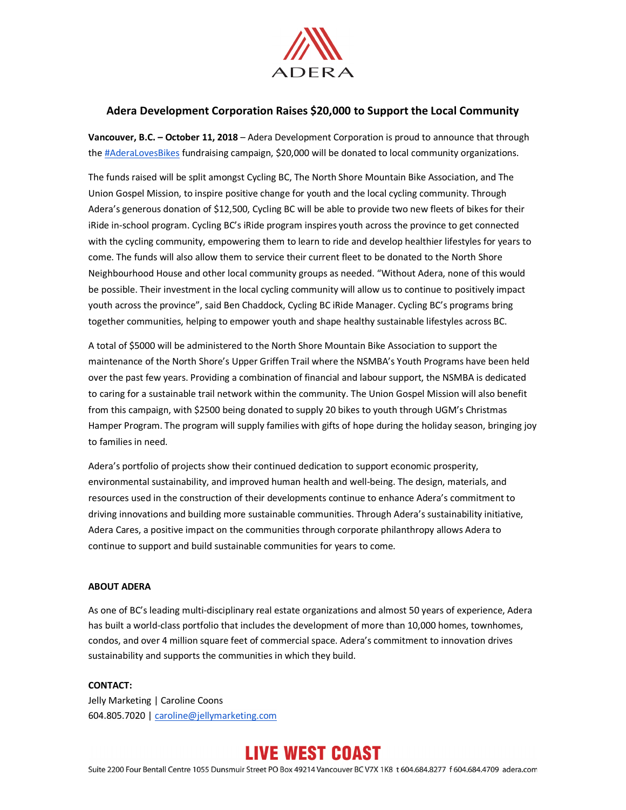

## **Adera Development Corporation Raises \$20,000 to Support the Local Community**

**Vancouver, B.C. – October 11, 2018** – Adera Development Corporation is proud to announce that through the #AderaLovesBikes fundraising campaign, \$20,000 will be donated to local community organizations.

The funds raised will be split amongst Cycling BC, The North Shore Mountain Bike Association, and The Union Gospel Mission, to inspire positive change for youth and the local cycling community. Through Adera's generous donation of \$12,500, Cycling BC will be able to provide two new fleets of bikes for their iRide in-school program. Cycling BC's iRide program inspires youth across the province to get connected with the cycling community, empowering them to learn to ride and develop healthier lifestyles for years to come. The funds will also allow them to service their current fleet to be donated to the North Shore Neighbourhood House and other local community groups as needed. "Without Adera, none of this would be possible. Their investment in the local cycling community will allow us to continue to positively impact youth across the province", said Ben Chaddock, Cycling BC iRide Manager. Cycling BC's programs bring together communities, helping to empower youth and shape healthy sustainable lifestyles across BC.

A total of \$5000 will be administered to the North Shore Mountain Bike Association to support the maintenance of the North Shore's Upper Griffen Trail where the NSMBA's Youth Programs have been held over the past few years. Providing a combination of financial and labour support, the NSMBA is dedicated to caring for a sustainable trail network within the community. The Union Gospel Mission will also benefit from this campaign, with \$2500 being donated to supply 20 bikes to youth through UGM's Christmas Hamper Program. The program will supply families with gifts of hope during the holiday season, bringing joy to families in need.

Adera's portfolio of projects show their continued dedication to support economic prosperity, environmental sustainability, and improved human health and well-being. The design, materials, and resources used in the construction of their developments continue to enhance Adera's commitment to driving innovations and building more sustainable communities. Through Adera's sustainability initiative, Adera Cares, a positive impact on the communities through corporate philanthropy allows Adera to continue to support and build sustainable communities for years to come.

## **ABOUT ADERA**

As one of BC's leading multi-disciplinary real estate organizations and almost 50 years of experience, Adera has built a world-class portfolio that includes the development of more than 10,000 homes, townhomes, condos, and over 4 million square feet of commercial space. Adera's commitment to innovation drives sustainability and supports the communities in which they build.

## **CONTACT:**

Jelly Marketing | Caroline Coons 604.805.7020 | caroline@jellymarketing.com

## **LIVE WEST COAST**

Suite 2200 Four Bentall Centre 1055 Dunsmuir Street PO Box 49214 Vancouver BC V7X 1K8 t 604.684.8277 f 604.684.4709 adera.com